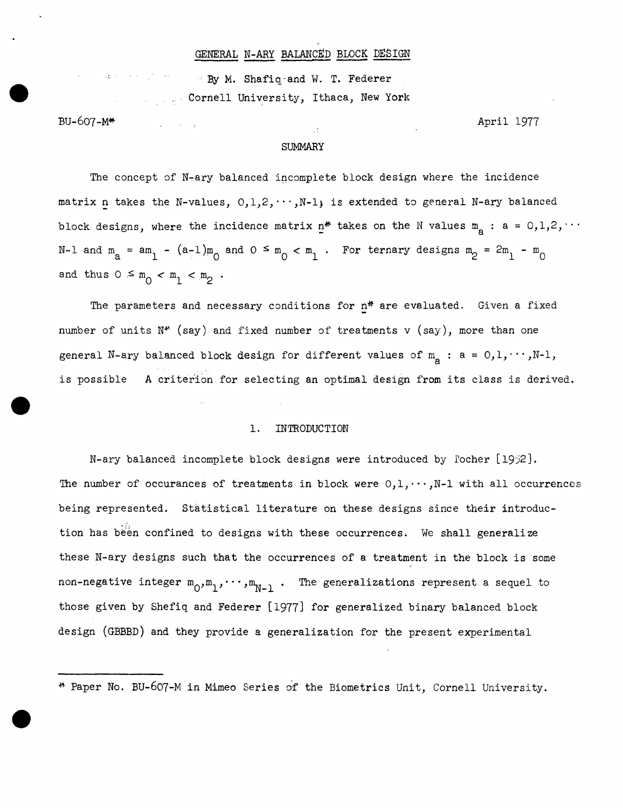### GENERAL N-ARY BALANCED BLOCK DESIGN

By M. Shafiq-and W. T. Federer Cornell University, Ithaca, New York

 $\omega_{\rm c}$  , and  $\omega_{\rm c}$  , and  $\omega_{\rm c}$ 

BU-607-M\*

April 1977

#### SUMMARY

άt

The concept of N-ary balanced incomplete block design where the incidence matrix n takes the N-values,  $0,1,2,\cdots,N-1$  is extended to general N-ary balanced block designs, where the incidence matrix  $n^*$  takes on the N values  $m_{\rm g}$  : a = 0,1,2,  $\cdots$ N-1 and  $m_a = am_1 - (a-1)m_0$  and  $0 \le m_0 < m_1$ . For ternary designs  $m_p = 2m_1 - m_0$ and thus  $0 \leq m_0 < m_1 < m_2$ .

The parameters and necessary conditions for n\* are evaluated. Given a fixed number of units  $N^*$  (say) and fixed number of treatments v (say), more than one general N-ary balanced block design for different values of  $m_a$ : a = 0,1,  $\cdots$ , N-1, is possible A criterion for selecting an optimal design from its class is derived.

### 1. INTRODUCTION

N-ary balanced incomplete block designs were introduced by Tocher [1952]. The number of occurances of treatments in block were  $0,1,\dots,N-1$  with all occurrences being represented. Statistical literature on these designs since their introduction has been confined to designs with these occurrences. We shall generalize these N-ary designs such that the occurrences of a treatment in the block is some non-negative integer  $m_0, m_1, \cdots, m_{N-1}$ . The generalizations represent a sequel to those given by Shefiq and Federer [1977] for generalized binary balanced block design (GBBBD) and they provide a generalization for the present experimental

<sup>~</sup> Paper No. BU-607-M in Mimeo Series of the Biometrics Unit, Cornell University.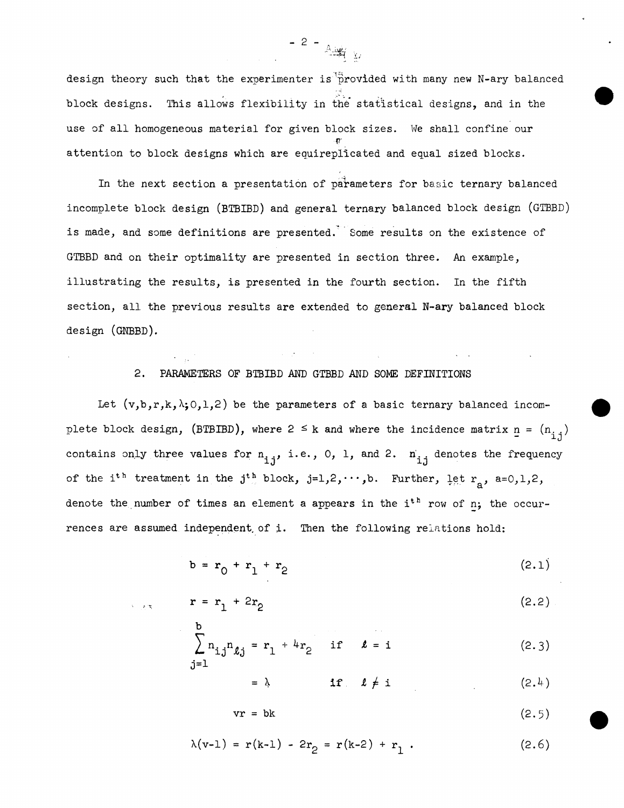design theory such that the experimenter is provided with many new N-ary balanced block designs. 1bis allows flexibility in the statistical designs, and in the use of all homogeneous material for given block sizes. We shall confine our {7' attention to block designs which are equireplicated and equal sized blocks.

In the next section a presentation of parameters for basic ternary balanced incomplete block design (BTBIBD) and general ternary balanced block design (GTBBD) is made, and some definitions are presented. Some results on the existence of GTBBD and on their optimality are presented in section three. An example, illustrating the results, is presented in the fourth section. In the fifth section, all the previous results are extended to general N-ary balanced block design (GNBBD).

### 2. PARAMETERS OF BTBIBD AND GTBBD AND SOME DEFINITIONS

Let  $(v,b,r,k,\lambda;0,1,2)$  be the parameters of a basic ternary balanced incomplete block design, (BTBIBD), where  $2 \le k$  and where the incidence matrix  $n = (n_{i,j})$ contains only three values for  $n_{i,j}$ , i.e., 0, 1, and 2.  $n_{i,j}$  denotes the frequency of the i<sup>th</sup> treatment in the j<sup>th</sup> block, j=1,2, ..., b. Further, let  $r_a$ , a=0,1,2, denote the number of times an element a appears in the  $i<sup>th</sup>$  row of n; the occurrences are assumed independent of i. Then the following relations hold:

$$
b = r_0 + r_1 + r_2 \tag{2.1}
$$

$$
\mathbf{r} = \mathbf{r}_1 + 2\mathbf{r}_2 \tag{2.2}
$$

$$
\sum_{j=1}^{b} n_{ij} n_{lj} = r_1 + 4r_2 \quad \text{if} \quad l = i \tag{2.3}
$$

 $= \lambda$  if  $\ell \neq i$  (2.4)

 $vr = bk$  (2.5)

$$
\lambda(v-1) = r(k-1) - 2r_2 = r(k-2) + r_1.
$$
 (2.6)

 $- 2 - 44$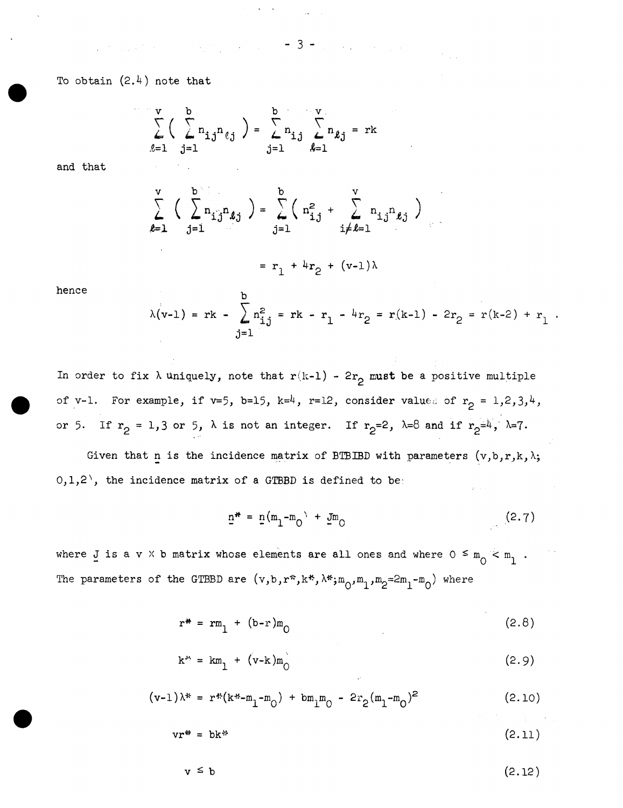$- 3 -$ 

 $\label{eq:2} \frac{1}{2}\sum_{i=1}^n\sum_{j=1}^n\frac{1}{j!}\sum_{j=1}^n\sum_{j=1}^n\frac{1}{j!}\sum_{j=1}^n\sum_{j=1}^n\frac{1}{j!}\sum_{j=1}^n\frac{1}{j!}\sum_{j=1}^n\frac{1}{j!}\sum_{j=1}^n\frac{1}{j!}\sum_{j=1}^n\frac{1}{j!}\sum_{j=1}^n\frac{1}{j!}\sum_{j=1}^n\frac{1}{j!}\sum_{j=1}^n\frac{1}{j!}\sum_{j=1}^n\frac{1}{j!}\sum_{j$ 

To obtain  $(2.4)$  note that

 $\mathcal{L}^{\mathcal{L}}(\mathcal{L}^{\mathcal{L}})$  and  $\mathcal{L}^{\mathcal{L}}(\mathcal{L}^{\mathcal{L}})$  are the contribution of the contribution of  $\mathcal{L}^{\mathcal{L}}$ 

$$
\sum_{\ell=1}^{V} \left( \sum_{j=1}^{b} n_{ij} n_{\ell j} \right) = \sum_{j=1}^{b} n_{ij} \sum_{\ell=1}^{V} n_{\ell j} = \mathbf{r} \mathbf{k}
$$

and that

$$
\sum_{\ell=1}^{V} \left( \sum_{j=1}^{b} n_{i,j} n_{\ell j} \right) = \sum_{j=1}^{b} \left( n_{i,j}^{2} + \sum_{i \neq \ell=1}^{V} n_{i,j} n_{\ell j} \right)
$$

$$
= r_{1} + 4r_{2} + (v-1)\lambda
$$

hence

$$
\lambda(v-1) = rk - \sum_{j=1}^{b} n_{ij}^{2} = rk - r_{1} - 4r_{2} = r(k-1) - 2r_{2} = r(k-2) + r_{1}.
$$

In order to fix  $\lambda$  uniquely, note that  $r(k-1)$  -  $2r_2$  must be a positive multiple of v-1. For example, if v=5, b=15, k=4, r=12, consider values of  $r_2 = 1,2,3,4$ , or 5. If  $r_2 = 1, 3$  or 5,  $\lambda$  is not an integer. If  $r_2 = 2$ ,  $\lambda = 8$  and if  $r_2 = 4$ ,  $\lambda = 7$ .

Given that n is the incidence matrix of BTBIBD with parameters  $(v,b,r,k,\lambda;$  $0,1,2$ <sup>'</sup>, the incidence matrix of a GTBBD is defined to be:

$$
\underline{n}^* = \underline{n}(m_1 - m_0) + \underline{J}m_0 \tag{2.7}
$$

where J is a *v*  $\times$  b matrix whose elements are all ones and where  $0 \le m_0 < m_1$ . The parameters of the GTBBD are  $(v, b, r^*, k^*, \lambda^*; m_0, m_1, m_2 = 2m_1 - m_0)$  where

$$
r^* = rm_1 + (b-r)m_0 \tag{2.8}
$$

$$
k^{\mu} = km_1 + (v-k)m_0 \tag{2.9}
$$

$$
(\mathbf{v-1})\lambda^* = \mathbf{r}^* (\mathbf{k}^* - \mathbf{m}_1 - \mathbf{m}_0) + \mathbf{b} \mathbf{m}_1 \mathbf{m}_0 - 2r_2 (\mathbf{m}_1 - \mathbf{m}_0)^2
$$
 (2.10)

$$
vr^* = bk^* \tag{2.11}
$$

$$
v \leq b \tag{2.12}
$$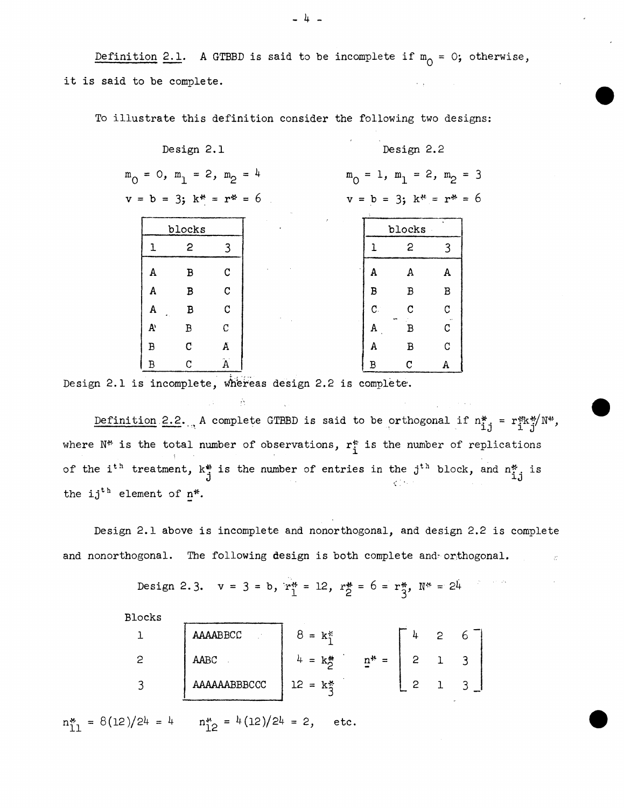Definition 2.1. A GTBBD is said to be incomplete if  $m_0 = 0$ ; otherwise, it is said to be complete.

To illustrate this definition consider the following two designs:

|           | Design 2.1                                                               |                    |  |                                         |                               | Design 2.2 |   |  |  |  |  |
|-----------|--------------------------------------------------------------------------|--------------------|--|-----------------------------------------|-------------------------------|------------|---|--|--|--|--|
|           | $m_{\overline{O}} = 0$ , $m_{\overline{1}} = 2$ , $m_{\overline{2}} = 4$ |                    |  | $= 1, m_1 = 2, m_2 = 3$<br>$m_{\Omega}$ |                               |            |   |  |  |  |  |
|           | $v = b = 3$ ; $k^* = r^* = 6$                                            |                    |  |                                         | $v = b = 3$ ; $k^* = r^* = 6$ |            |   |  |  |  |  |
|           | blocks                                                                   |                    |  |                                         |                               | blocks     |   |  |  |  |  |
| 1         | $\overline{c}$                                                           | $\overline{3}$     |  |                                         |                               | 2          | 3 |  |  |  |  |
| A         | $\, {\bf B}$                                                             | $\mathbf C$        |  |                                         | A                             | А          | A |  |  |  |  |
| A         | $\, {\bf B}$                                                             | $\mathbf C$        |  |                                         | В                             | В          | B |  |  |  |  |
| A         | B                                                                        | $\mathbf C$        |  |                                         | $\mathbf{C}$                  | C          | C |  |  |  |  |
| ${\bf A}$ | B                                                                        | C                  |  |                                         | A                             | В          | C |  |  |  |  |
| B         | $\mathbf{C}$                                                             | A                  |  |                                         | A                             | B          | C |  |  |  |  |
| B         | C                                                                        | $\mathbf{\hat{A}}$ |  |                                         | В                             | C          | А |  |  |  |  |

Design 2.1 is incomplete, whereas design 2.2 is complete.

Definition 2.2. A complete GTBBD is said to be orthogonal if  $n_{1,j}^* = r_{1,j}^{*k} / N^*$ , where  $N^*$  is the total number of observations,  $r_i^*$  is the number of replications of the i<sup>th</sup> treatment,  $k^*$  is the number of entries in the j<sup>th</sup> block, and  $n^*_{i,j}$  is the ij<sup>th</sup> element of  $n^*$ .

Design 2.1 above is incomplete and nonorthogonal, and design 2.2 is complete and nonorthogonal. The following design is both complete and orthogonal.

Design 2.3.  $v = 3 = b$ ,  $r_1^* = 12$ ,  $r_2^* = 6 = r_3^*$ ,  $N^* = 24$ 

Blocks

| AAAABBCC     | $\mathbf{k}^*$<br>$=$ |  |  |
|--------------|-----------------------|--|--|
| AABC         | $n^*$ =<br>k*<br>$=$  |  |  |
| AAAAAABBBCCC | $12 = k\frac{3}{2}$   |  |  |

 $n_{11}^{*} = 8(12)/24 = 4$   $n_{12}^{*} = 4(12)/24 = 2$ , etc.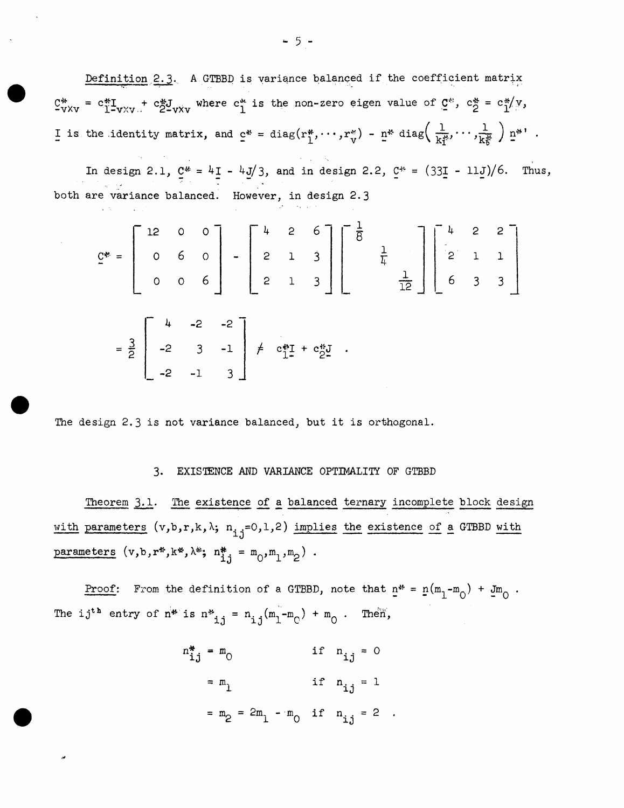Definition 2.3. A GTBBD is variance balanced if the coefficient matrix  $C^*$  =  $C^*$ I<sub>-V</sub><sub>XV</sub> +  $C^*$ J<sub>-V</sub><sub>XV</sub> where  $C^*$  is the non-zero eigen value of  $C^*$ ,  $C^*$  =  $C^*$  $(Y$ ,  $Y$ I is the identity matrix, and  $c^* = diag(r_1^*, \dots, r_v^*) - n^* diag\left(\frac{1}{k_1^*}, \dots, \frac{1}{k_k^*}\right) n^*'.$ 

In design 2.1,  $C^* = 4I - 4J/3$ , and in design 2.2,  $C^* = (33I - 11J)/6$ . Thus, both are variance balanced. However, in design 2.3

$$
C^* = \begin{bmatrix} 12 & 0 & 0 \\ 0 & 6 & 0 \\ 0 & 0 & 6 \end{bmatrix} - \begin{bmatrix} 4 & 2 & 6 \\ 2 & 1 & 3 \\ 2 & 1 & 3 \end{bmatrix} \begin{bmatrix} -\frac{1}{6} & 0 & 0 \\ 0 & \frac{1}{12} & 0 \\ 0 & 3 & 3 \end{bmatrix}
$$

$$
= \frac{3}{2} \begin{bmatrix} 4 & -2 & -2 \\ -2 & 3 & -1 \\ -2 & -1 & 3 \end{bmatrix} \neq c_{11}^{*} + c_{22}^{*}.
$$

The design 2.3 is not variance balanced, but it is orthogonal.

## 3. EXISTENCE AND VARIANCE OPTIMALITY OF GTBBD

Theorem 3.1. The existence of a balanced ternary incomplete block design with parameters  $(v, b, r, k, \lambda; n_{i,j}=0, 1, 2)$  implies the existence of a GTBBD with parameters  $(v, b, r^*, k^*, \lambda^*; n_{i,j}^* = m_0, m_1, m_2)$ .

Proof: From the definition of a GTBBD, note that  $n^* = n(m_1-m_0) + jm_0$ . The ij<sup>th</sup> entry of  $n^{*}$  is  $n^{*}$  =  $n_{i,j}$  ( $m_{1} - m_{0}$ ) +  $m_{0}$ . Then,

$$
m_{ij}^* = m_0 \qquad \text{if } n_{ij} = 0
$$
  
=  $m_1$  if  $n_{ij} = 1$   
=  $m_2 = 2m_1 - m_0$  if  $n_{ij} = 2$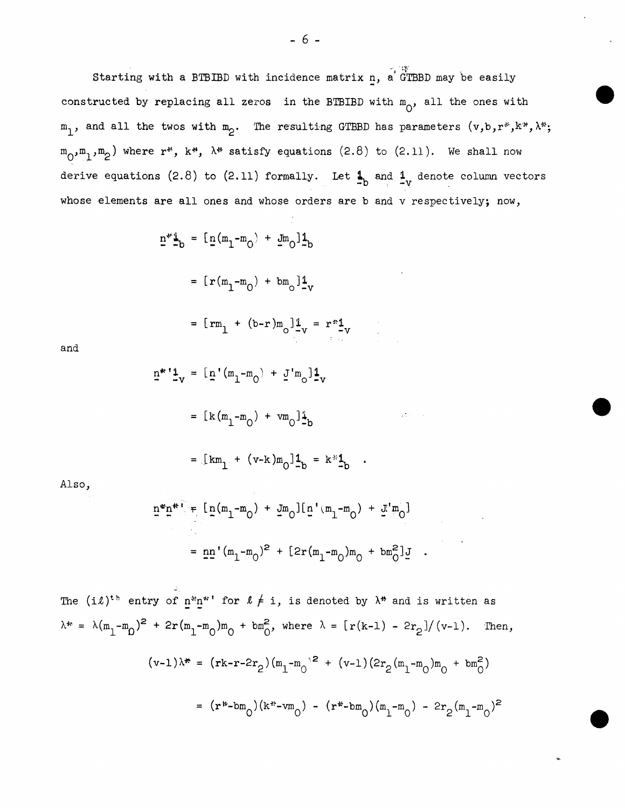Starting with a BTBIBD with incidence matrix n, a GTBBD may be easily constructed by replacing all zeros in the BTBIBD with  $m_{0}$ , all the ones with  $m_1$ , and all the twos with  $m_2$ . The resulting GTBBD has parameters  $(v,b,r^*,k^*,\lambda^*;$  $m_{0}m_{1}m_{2}$  where r<sup>\*</sup>, k<sup>\*</sup>,  $\lambda$ <sup>\*</sup> satisfy equations (2.8) to (2.11). We shall now derive equations (2.8) to (2.11) formally. Let  $\frac{1}{x}$  and  $\frac{1}{y}$  denote column vectors whose elements are all ones and whose orders are b and v respectively; now,

$$
\underline{n}^* \underline{1}_b = [\underline{n} (m_1 - m_0) + \underline{J} m_0] \underline{1}_b
$$
  
=  $[\underline{r} (m_1 - m_0) + \underline{J} m_0] \underline{1}_v$   
=  $[\underline{r} m_1 + (\underline{b} - \underline{r}) m_0] \underline{1}_v = \underline{r}^* \underline{1}_v$ 

$$
\quad\text{and}\quad
$$

$$
\underline{n}^{*} \underline{1}_{V}^{*} = [\underline{n}^{*}(m_{1} - m_{0}) + \underline{J}^{*}m_{0}]\underline{1}_{V}
$$

$$
= [\underline{k}(m_{1} - m_{0}) + \nu m_{0}]\underline{1}_{b}
$$

$$
= [\kappa m_1 + (v-k) m_0]_{-b}^{1b} = k^{*1} b
$$

Also,

$$
\underline{n}^{m} \underline{n}^{m} = [\underline{n}(m_1 - m_0) + \underline{J}m_0] [\underline{n}' (m_1 - m_0) + \underline{J}' m_0]
$$
  
=  $\underline{n} \underline{n}' (m_1 - m_0)^2 + [2r(m_1 - m_0) m_0 + bm_0^2] \underline{J}$ .

The  $(i\ell)^{th}$  entry of  $n^m n^*$ ' for  $\ell \neq i$ , is denoted by  $\lambda^*$  and is written as  $\lambda^* = \lambda (m_1 - m_0)^2 + 2r(m_1 - m_0) m_0 + b m_0^2$ , where  $\lambda = \frac{r(k-1) - 2r_2}{(v-1)}$ . Then,  $(v-1)\lambda^* = (rk-r-2r_2)(m_1-m_0^2 + (v-1)(2r_2(m_1-m_0)m_0 + bm_0^2))$ =  $(\mathbf{r}^*$ -bm<sub>0</sub> $)(\mathbf{k}^*$ -vm<sub>0</sub> $)$  -  $(\mathbf{r}^*$ -bm<sub>0</sub> $)(\mathbf{m}_1 - \mathbf{m}_0)$  -  $2r_2(\mathbf{m}_1 - \mathbf{m}_0)^2$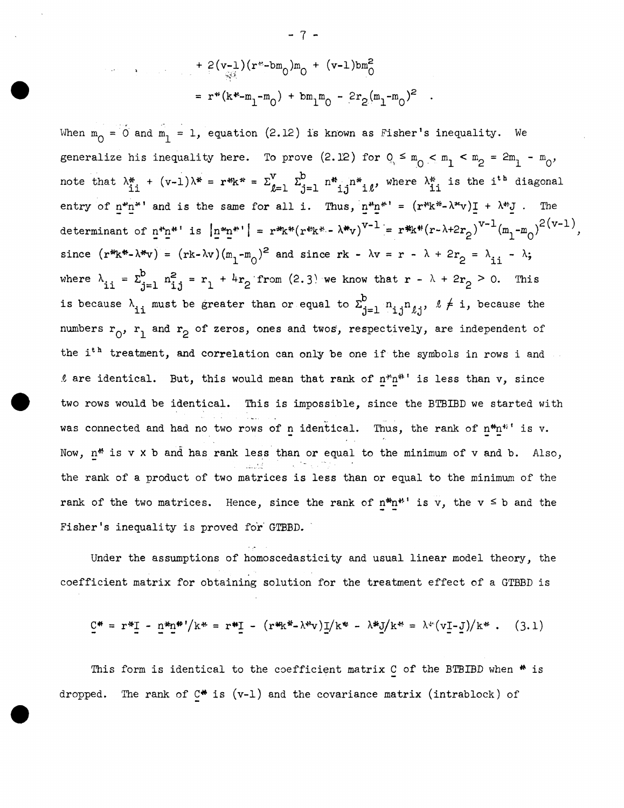$$
+ 2(v_{-1})(r^{2} - b_{0})m_{0} + (v_{-1})bm_{0}^{2}
$$

$$
= r^{*}(k^{*}-m_{1}-m_{0}) + bm_{1}m_{0} - 2r_{2}(m_{1}-m_{0})^{2}
$$

When  $m_0 = 0$  and  $m_1 = 1$ , equation (2.12) is known as Fisher's inequality. We generalize his inequality here. To prove (2.12) for  $Q_s \le m_0 < m_1 < m_2 = 2m_1 - m_0$ , note that  $\lambda_{i}^*$  +  $(v-1)\lambda^*$  =  $r^*k^*$  =  $\Sigma_{\ell=1}^v$   $\Sigma_{j=1}^b$   $n^*_{i,j}n^*_{i,\ell}$ , where  $\lambda_{i,j}^*$  is the i<sup>th</sup> diagonal entry of  $n^m n^{*}$  and is the same for all i. Thus,  $n^m n^{*} = (r^w k^* - \lambda^* v)I + \lambda^* J$ . The determinant of  $n^*n^*$ ' is  $|n^*n^*| = r^*k^* (r^*k^* - \lambda^*v)^{v-1} = r^*k^* (r - \lambda + 2r_2)^{v-1} (m_1 - m_0)^{2(v-1)}$ , since  $(r^*k^*-\lambda^*v) = (rk-\lambda v)(m_1-m_0)^2$  and since  $rk - \lambda v = r - \lambda + 2r_2 = \lambda_{ii} - \lambda;$ where  $\lambda_{ii} = \sum_{i=1}^{b} n_{i,i}^2 = r_1 + 4r_2$  from (2.3) we know that  $r - \lambda + 2r_2 > 0$ . This is because  $\lambda_{11}$  must be greater than or equal to  $\Sigma_{j=1}^{b}$   $n_{1,j}n_{2,j}$ ,  $\ell \neq i$ , because the numbers  $r_0$ ,  $r_1$  and  $r_2$  of zeros, ones and twos, respectively, are independent of the i<sup>th</sup> treatment, and correlation can only be one if the symbols in rows i and  $\ell$  are identical. But, this would mean that rank of  $n^*n^{*}$  is less than v, since two rows would be identical. This is impossible, since the BTBIBD we started with was connected and had no two rows of n identical. Thus, the rank of  $n^{*}n^{*}$  is v. Now,  $n^*$  is v x b and has rank less than or equal to the minimum of v and b. Also, the rank of a product of two matrices is less than or equal to the minimum of the rank of the two matrices. Hence, since the rank of  $n^*n^{**}$  is v, the v  $\leq$  b and the Fisher's inequality is proved for GTBBD.

Under the assumptions of homoscedasticity and usual linear model theory, the coefficient matrix for obtaining solution for the treatment effect of a GTBBD is

$$
\underline{C}^* = r^* \underline{I} - n^* n^* ' / k^* = r^* \underline{I} - (r^* k^* - \lambda^* v) \underline{I} / k^* - \lambda^* \underline{J} / k^* = \lambda^* (v \underline{I} - \underline{J}) / k^* . \quad (3.1)
$$

This form is identical to the coefficient matrix C of the BTBIBD when  $*$  is dropped. The rank of  $C^*$  is  $(v-1)$  and the covariance matrix (intrablock) of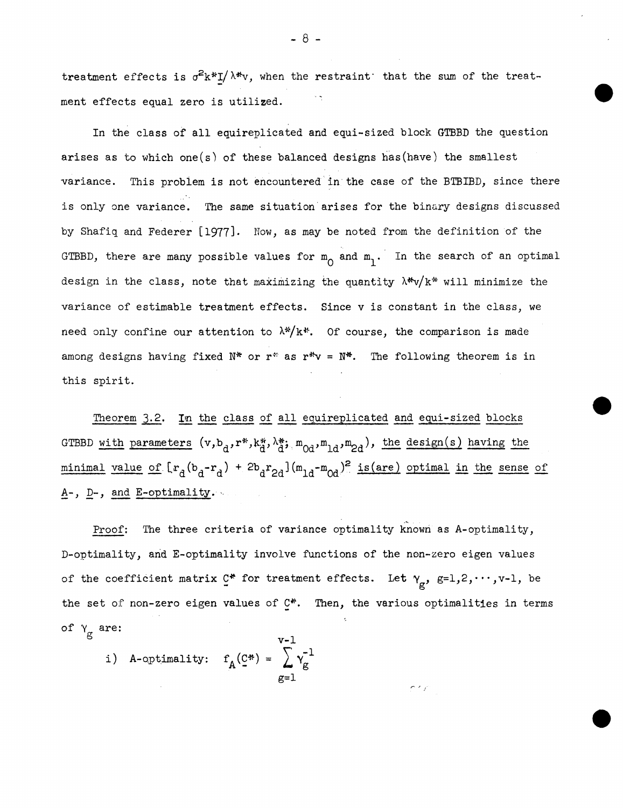treatment effects is  $\sigma^2 k^* I/\lambda^* v$ , when the restraint that the sum of the treatment effects equal zero is utilized.

In the class of all equireplicated and equi-sized block GTBBD the question arises as to which one(s) of these balanced designs has(have) the smallest variance. This problem is not encounteredin the case of the BTBIBD, since there is only one variance. The same situation arises for the binary designs discussed by Shafiq and Federer [1977]. Now, as may be noted from the definition of the GTBBD, there are many possible values for  $m_0$  and  $m_1$ . In the search of an optimal design in the class, note that maximizing the quantity  $\lambda^* v / k^*$  will minimize the variance of estimable treatment effects. Since v is constant in the class, we need only confine our attention to  $\lambda^*/k^*$ . Of course, the comparison is made among designs having fixed N\* or r\* as r\*v = N\*. The following theorem is in this spirit.

Theorem 3.2. In the class of all equireplicated and equi-sized blocks GTBBD with parameters  $(v, b_d, r^*, k_d^*, \lambda_d^*, m_{0d}, m_{1d}, m_{2d})$ , the design(s) having the minimal value of  $[r_d(b_d-r_d) + 2b_d r_{2d}] (m_{1d}-m_{0d})^2$  is (are) optimal in the sense of  $A-$ ,  $D-$ , and E-optimality.

Proof: The three criteria of variance optimality known as A-optimality, D-optimality, and E-optimality involve functions of the non-zero eigen values of the coefficient matrix  $C^*$  for treatment effects. Let  $\gamma_g$ ,  $g=1,2,\cdots,v-1$ , be the set of non-zero eigen values of C\*. Then, the various optimalities in terms of  $\gamma_{\rm g}$  are:

 $\sim$   $\sim$ 

 $\overline{1}$ 

i) A-optimality: 
$$
f_A(\underline{C}^*) = \sum_{g=1}^{v-1} v_g^{-1}
$$

 $- 8 -$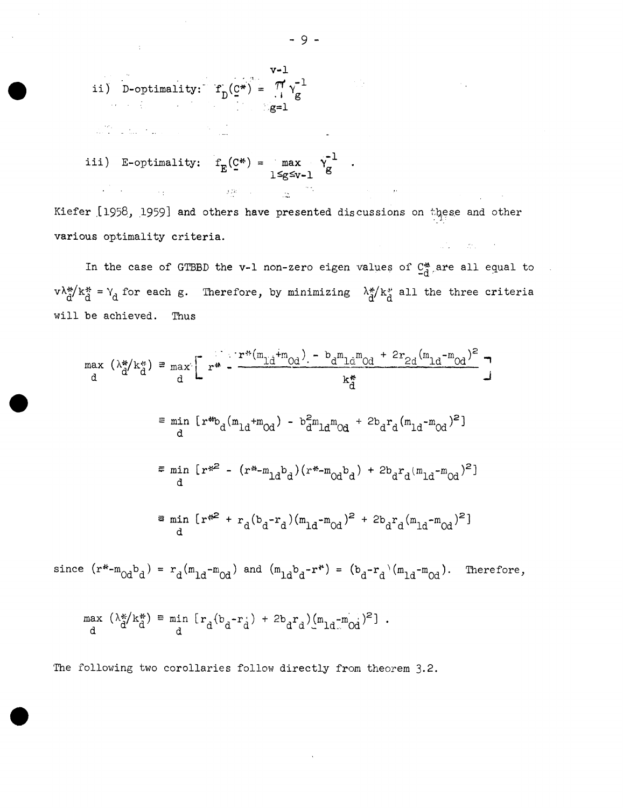ii) **D**-optimality: 
$$
f_D(\underline{c}^*) = \frac{\pi}{i} \gamma_{g}^{-1}
$$

$$
g=1
$$

 $\frac{1}{2}$  , and  $\frac{1}{2}$  , and  $\frac{1}{2}$  , and  $\frac{1}{2}$  , and  $\frac{1}{2}$  , and  $\frac{1}{2}$  , and  $\frac{1}{2}$  , and  $\frac{1}{2}$  , and  $\frac{1}{2}$ 

 $\pm$ 

iii) E-optimality: 
$$
f_E(\mathcal{Q}^*) = \max_{1 \le g \le v-1} \gamma_g^{-1}
$$
.

Kiefer [1958, 1959] and others have presented discussions on these and other various optimality criteria.  $\mathcal{L}(\mathcal{L})=\mathcal{L}(\mathcal{L})$  , where  $\mathcal{L}(\mathcal{L})$ 

In the case of GTBBD the v-1 non-zero eigen values of  $C_d^*$  are all equal to  $v \lambda_d^* / k_d^* = Y_d$  for each g. Therefore, by minimizing  $\lambda_d^* / k_d^*$  all the three criteria will be achieved. Thus

$$
\max_{d} (\lambda_{d}^{*}/k_{d}^{*}) = \max_{d} \left[ r^{**} - \frac{r^{*} (m_{\text{Li}} + m_{\text{Od}}) - b_{d} m_{\text{Li}} m_{\text{Od}} + 2r_{\text{2d}} (m_{\text{Li}} - m_{\text{Od}})^{2}}{k_{d}^{*}} \right]
$$
\n
$$
\equiv \min_{d} \left[ r^{*} b_{d} (m_{\text{Li}} + m_{\text{Od}}) - b_{d}^{2} m_{\text{Li}} m_{\text{Od}} + 2b_{d} r_{d} (m_{\text{Li}} - m_{\text{Od}})^{2} \right]
$$
\n
$$
\equiv \min_{d} \left[ r^{*2} - (r^{*} - m_{\text{Li}})^{2} \right] \times \left[ r^{*} - m_{\text{Col}} \right] \times \left[ r^{*} - m_{\text{Col}} \right] \times \left[ r^{*} - m_{\text{Col}} \right] \times \left[ r^{*} - m_{\text{Col}} \right] \times \left[ r^{*} - m_{\text{Col}} \right] \times \left[ r^{*} - m_{\text{Col}} \right] \times \left[ r^{*} - m_{\text{Col}} \right] \times \left[ r^{*} - m_{\text{Col}} \right] \times \left[ r^{*} - m_{\text{Col}} \right] \times \left[ r^{*} - m_{\text{Col}} \right] \times \left[ r^{*} - m_{\text{Col}} \right] \times \left[ r^{*} - m_{\text{Col}} \right] \times \left[ r^{*} - m_{\text{Col}} \right] \times \left[ r^{*} - m_{\text{Col}} \right] \times \left[ r^{*} - m_{\text{Col}} \right] \times \left[ r^{*} - m_{\text{Col}} \right] \times \left[ r^{*} - m_{\text{Col}} \right] \times \left[ r^{*} - m_{\text{Col}} \right] \times \left[ r^{*} - m_{\text{Col}} \right] \times \left[ r^{*} - m_{\text{Col}} \right] \times \left[ r^{*} - m_{\text{Col}} \right] \times \left[ r^{*} - m_{\text{Col}} \right] \times \left[ r^{*} - m_{\text{Col}} \right] \times \left[ r^{*} - m_{\text{Col}} \right] \times \left[ r^{*} - m_{\text{Col}}
$$

since  $(r^{*}-m_{0d}b_{d}) = r_{d}(m_{1d}-m_{0d})$  and  $(m_{1d}b_{d}-r^{*}) = (b_{d}-r_{d})(m_{1d}-m_{0d})$ . Therefore,

$$
\max_{d} (\lambda_d^* / k_d^*) = \min_{d} [r_d (b_d - r_d) + 2b_d r_d) (m_{1d} - m_{0d})^2].
$$

The following two corollaries follow directly from theorem 3.2.

 $\mathcal{L}^{(1)}$  .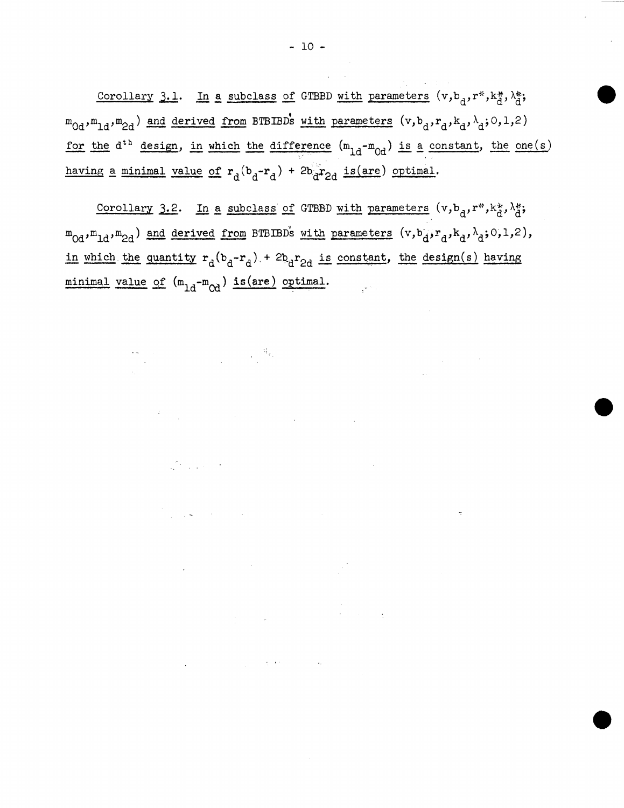Corollary 3.1. In a subclass of GTBBD with parameters  $(v,b_d,r^*,k_d^*,\lambda_d^*;$  ${}^{\text{m}}$ 0d, ${}^{\text{m}}$ 1d, ${}^{\text{m}}$ 2d) and derived from BTBIBDs with parameters  $(v, b_d, r_d, k_d, \lambda_d; 0, 1, 2)$ for the  $d^{th}$  design, in which the difference  $(m_{1d}-m_{0d})$  is a constant, the one(s) having a minimal value of  $r_d(b_d-r_d)$  + 2b<sub>d</sub> $r_{2d}$  is(are) optimal.

Corollary 3.2. In a subclass of GTBBD with parameters  $(v,b_d,r^*,k_d^*,\lambda_d^*;$  $m_{0d}$ , $m_{1d}$ , $m_{2d}$ ) and derived from BTBIBDs with parameters (v,b<sub>d</sub>,r<sub>d</sub>,k<sub>d</sub>, $\lambda_{d}$ ;O,1,2), in which the quantity  $r_d(b_d-r_d) + 2b_d r_{2d}$  is constant, the design(s) having  $\begin{minimality:20\textwidth} \begin{minipage}[c]{0.4\textwidth} \centering \begin{tabular}[c]{c} \texttt{minimal} & \texttt{value of} \end{tabular} \end{minipage} \begin{minipage}[c]{0.4\textwidth} \centering \begin{minipage}[c]{0.4\textwidth} \centering \begin{tabular}[c]{c} \texttt{minall} \end{tabular} \end{minipage} \end{minipage} \begin{minipage}[c]{0.4\textwidth} \centering \begin{minipage}[c]{0.4\textwidth} \centering \centering \end{minipage} \end{minipage} \begin{minipage}[c]{0.4\textwidth} \centering \$ 

 $\label{eq:R1} \mathcal{M}_{\mathcal{G}_1} = \mathcal{M}_{\mathcal{G}_2}$  and  $\mathcal{M}_{\mathcal{G}_3}$ 

 $\label{eq:2.1} \frac{1}{2\sqrt{2}}\sum_{i=1}^n\frac{1}{2\sqrt{2}}\sum_{i=1}^n\frac{1}{2\sqrt{2}}\sum_{i=1}^n\frac{1}{2\sqrt{2}}\sum_{i=1}^n\frac{1}{2\sqrt{2}}\sum_{i=1}^n\frac{1}{2\sqrt{2}}\sum_{i=1}^n\frac{1}{2\sqrt{2}}\sum_{i=1}^n\frac{1}{2\sqrt{2}}\sum_{i=1}^n\frac{1}{2\sqrt{2}}\sum_{i=1}^n\frac{1}{2\sqrt{2}}\sum_{i=1}^n\frac{1}{2\sqrt{2}}$ 

 $\label{eq:2.1} \frac{d\mathbf{r}}{d\mathbf{r}} = \frac{1}{2} \left( \frac{d\mathbf{r}}{d\mathbf{r}} + \frac{d\mathbf{r}}{d\mathbf{r}} \right) \left( \frac{d\mathbf{r}}{d\mathbf{r}} + \frac{d\mathbf{r}}{d\mathbf{r}} \right) \left( \frac{d\mathbf{r}}{d\mathbf{r}} + \frac{d\mathbf{r}}{d\mathbf{r}} \right) \left( \frac{d\mathbf{r}}{d\mathbf{r}} + \frac{d\mathbf{r}}{d\mathbf{r}} \right) \left( \frac{d\mathbf{r}}$ 

 $\label{eq:2.1} \frac{1}{\sqrt{2\pi}}\sum_{i=1}^n\frac{1}{\sqrt{2\pi}}\sum_{i=1}^n\frac{1}{\sqrt{2\pi}}\sum_{i=1}^n\frac{1}{\sqrt{2\pi}}\sum_{i=1}^n\frac{1}{\sqrt{2\pi}}\sum_{i=1}^n\frac{1}{\sqrt{2\pi}}\sum_{i=1}^n\frac{1}{\sqrt{2\pi}}\sum_{i=1}^n\frac{1}{\sqrt{2\pi}}\sum_{i=1}^n\frac{1}{\sqrt{2\pi}}\sum_{i=1}^n\frac{1}{\sqrt{2\pi}}\sum_{i=1}^n\$ 

 $\label{eq:2.1} \mathcal{L}_{\mathcal{A}}(\mathcal{A})=\mathcal{L}_{\mathcal{A}}(\mathcal{A})\mathcal{L}_{\mathcal{A}}(\mathcal{A})=\mathcal{L}_{\mathcal{A}}(\mathcal{A})\mathcal{L}_{\mathcal{A}}(\mathcal{A}).$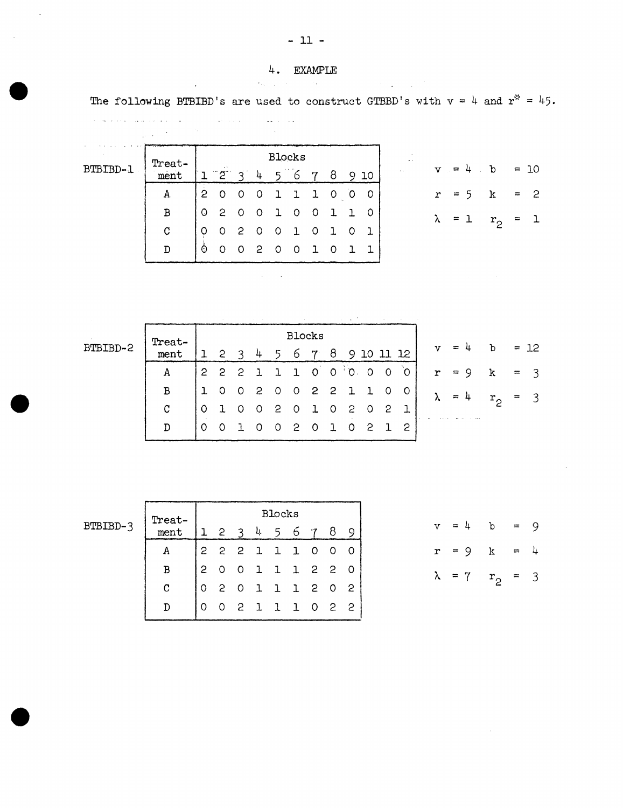$\sim 10^{11}$ 

The following BTBIBD's are used to construct GTBBD's with  $v = 4$  and  $r^* = 45$ .

| BTBIBD-1 | Tr |
|----------|----|

 $\ddot{\phantom{a}}$ 

 $\mathcal{L}_{\text{eff}}$ 

|     | ٠<br>$\mathbf{r}^{\prime}$ |                |         |              |         | $\mathcal{L}_{\mathcal{A}}$ . |              |                          |              |         |         |
|-----|----------------------------|----------------|---------|--------------|---------|-------------------------------|--------------|--------------------------|--------------|---------|---------|
|     | Treat-                     |                |         |              |         | <b>Blocks</b>                 |              |                          |              |         |         |
| B'. | mer                        |                | 2       | ੨            |         | 4 5 6 7 8                     |              |                          |              |         | 10      |
|     | A.                         | $\overline{2}$ | $0$ 0 0 |              |         | 11                            |              | $100$                    |              |         | $\circ$ |
|     | В                          | $\circ$        | 2       | O            | $\circ$ | $\mathbf{1}$                  | $\circ$      | $\overline{\mathbf{0}}$  |              | 1 1 0   |         |
|     | C                          | Ω              | O       | $\mathbf{2}$ | - 0     | $\circ$                       | $\mathbf{1}$ | $\overline{\phantom{0}}$ | $\mathbf{1}$ | $\circ$ | - 1     |
|     |                            | ò              |         |              | -2      | $\circ$                       | $\Omega$     | $\mathbf 1$              | 0            |         |         |

 $\mathcal{A}^{\mathcal{A}}_{\mathcal{A}}$  ,  $\mathcal{A}^{\mathcal{A}}_{\mathcal{A}}$ 

| $v = 4$ b = 10          |  |  |
|-------------------------|--|--|
| $r = 5$ k = 2           |  |  |
| $\lambda = 1$ $r_2 = 1$ |  |  |

| BTBIBD. |  |  |  |
|---------|--|--|--|
|         |  |  |  |

|       | $\mathtt{ Treat-}$ |   | Blocks         |                |               |                |  |                     |              |         |               |       |           |                     |       |              |        |
|-------|--------------------|---|----------------|----------------|---------------|----------------|--|---------------------|--------------|---------|---------------|-------|-----------|---------------------|-------|--------------|--------|
| BITRT | ment               |   | $\overline{c}$ | $\overline{3}$ | $\frac{1}{2}$ |                |  | 5 6 7 8             |              |         |               |       | 910112    | $v = 4$             |       | $\mathbf{b}$ | $= 12$ |
|       | Α                  |   |                |                |               |                |  |                     |              |         |               |       |           | $22211000000 r = 9$ |       | k            | $=$ 3  |
|       | в                  | ı |                |                |               |                |  | 0 0 2 0 0 2 2 1 1 0 |              |         |               |       | $\circ$ 1 |                     | $= 4$ | $r_{\Omega}$ | $=$ 3  |
|       | C                  |   |                |                | $\circ$       | $2^{\circ}$    |  | 1 <sub>0</sub>      |              |         | $2^{\circ}$ 0 |       | 2 1       |                     |       |              |        |
|       |                    |   |                |                | - O           | 0 <sub>2</sub> |  | $\circ$             | $\mathbf{1}$ | $\circ$ |               | 2 1 2 |           |                     |       |              |        |

BTBIBD-3

| Treat- |   |                |                            |              | Blocks       |              |                         |                |    |
|--------|---|----------------|----------------------------|--------------|--------------|--------------|-------------------------|----------------|----|
| ment   |   | 2              | ٩                          | Ļ.           | -5           | 6.           | 7                       | 8              |    |
|        | 2 | 2 <sub>2</sub> |                            | $\mathbf{1}$ | 11           |              | O                       | O              | O  |
| В      | 2 | $\circ$        | 0                          | $\mathbf{1}$ | 11           |              | 2 2                     |                | 0  |
| С      |   | 2              | $\circ$                    | 1 1 1        |              |              | $\overline{\mathbf{c}}$ | $\circ$        | 2  |
|        |   |                | $\overline{\phantom{a}}^2$ | $\mathbf{1}$ | $\mathbf{L}$ | $\mathbf{1}$ | 0                       | $\overline{c}$ | -2 |

 $v = 4$  b = 9  $r = 9$  k = 4  $\lambda = 7$   $r_2 = 3$ 

 $-11 -$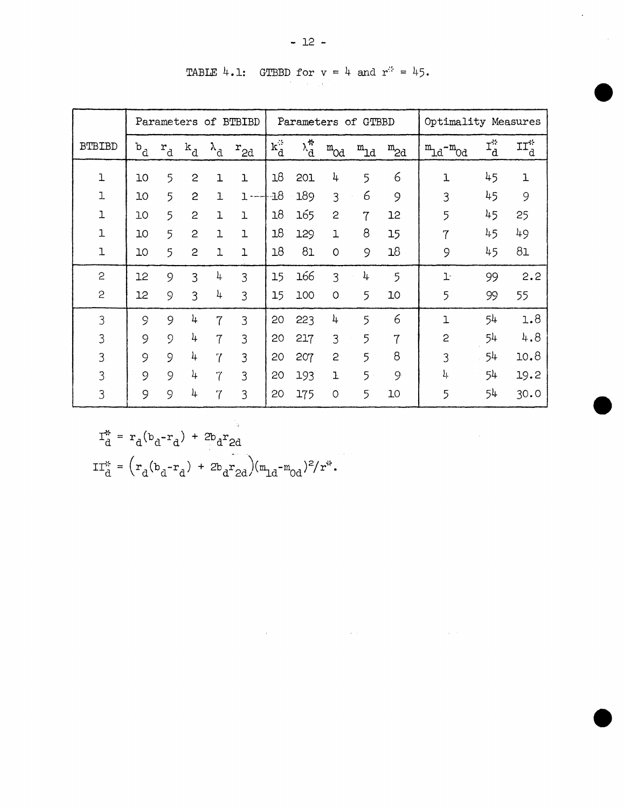|               | Parameters of BTBIBD |                           |                |                   |                |                  |                     | Parameters of GTBBD |                | Optimality Measures |                                 |                |                            |
|---------------|----------------------|---------------------------|----------------|-------------------|----------------|------------------|---------------------|---------------------|----------------|---------------------|---------------------------------|----------------|----------------------------|
| <b>BTBIBD</b> | b<br>d               | $\mathtt{r}_{\mathtt{d}}$ | $k_d$          | $\lambda_{\rm d}$ | $r_{2d}$       | $\mathbf{k}_d^2$ | $\lambda^*_{\rm d}$ | $^{\rm m}$ Od       | $m_{\rm 1d}$   | $m_{2d}$            | $m_{\text{1d}} - m_{\text{0d}}$ | $I_d^*$        | $\mathtt{II}_\mathtt{d}^*$ |
| $\mathbf{I}$  | 10                   | 5                         | $\overline{c}$ | ı                 | $\overline{1}$ | 18               | 201                 | 4                   | 5              | 6                   | $\mathbf{1}$                    | 45             | ı                          |
| $\mathbf 1$   | 10                   | 5                         | 2              | $\mathbf{I}$      | $1 -$          | $\cdot 18$       | 189                 | 3                   | 6              | 9                   | 3                               | 45             | 9                          |
| ı             | 10                   | 5                         | $\overline{c}$ | 1                 | ı              | 18               | 165                 | $\overline{c}$      | $\overline{7}$ | 12                  | 5                               | 45             | 25                         |
| 1             | 10                   | 5                         | $\overline{c}$ | ı                 | ı              | 18               | 129                 | ı                   | 8              | 15                  | 7                               | 45             | 49                         |
| $\mathbf{1}$  | 10                   | 5                         | $\overline{c}$ | ı                 | l              | 18               | 81                  | $\circ$             | 9              | 18                  | 9                               | 45             | 81                         |
| $\mathbf{c}$  | 12                   | 9                         | 3              | 4                 | 3              | 15               | 166                 | 3                   | 4              | 5                   | $1 -$                           | 99             | 2.2                        |
| $\mathbf{c}$  | 12                   | 9                         | 3              | 4                 | 3              | 15               | 100                 | $\circ$             | 5              | 10                  | 5                               | 99             | 55                         |
| 3             | 9                    | 9                         | 4              | 7                 | 3              | 20               | 223                 | 4                   | 5              | 6                   | 1                               | 5 <sup>1</sup> | 1.8                        |
| 3             | 9                    | $\circ$                   | 4              | $\overline{7}$    | 3              | 20               | 217                 | 3                   | 5              | $\mathbf{7}$        | 2                               | 54             | 4.8                        |
| 3             | 9                    | 9                         | 4              | $\overline{7}$    | 3              | 20               | 207                 | 2                   | 5              | 8                   | 3                               | 54             | 10.8                       |
| 3             | 9                    | 9                         | 4              | 7                 | 3              | 20               | 193                 | Ŧ                   | $5 -$          | 9                   | 4                               | 54             | 19.2                       |
| 3             | 9                    | 9                         | 4              | 7                 | 3              | 20               | 175                 | $\circ$             | 5              | 10                  | 5                               | 54             | 30.0                       |

 $\mathcal{L}^{\mathcal{L}}(\mathcal{L}^{\mathcal{L}})$  and  $\mathcal{L}^{\mathcal{L}}(\mathcal{L}^{\mathcal{L}})$  . The contribution of the contribution of  $\mathcal{L}^{\mathcal{L}}$ 

TABLE 4.1: GTBBD for  $v = 4$  and  $r^2 = 45$ .

$$
I_{d}^{*} = r_{d}(b_{d} - r_{d}) + 2b_{d}r_{2d}
$$
  
\n
$$
II_{d}^{*} = (r_{d}(b_{d} - r_{d}) + 2b_{d}r_{2d})(m_{1d} - m_{0d})^{2}/r^{*}.
$$

 $\mathcal{A}$ 

 $\hat{\mathcal{A}}$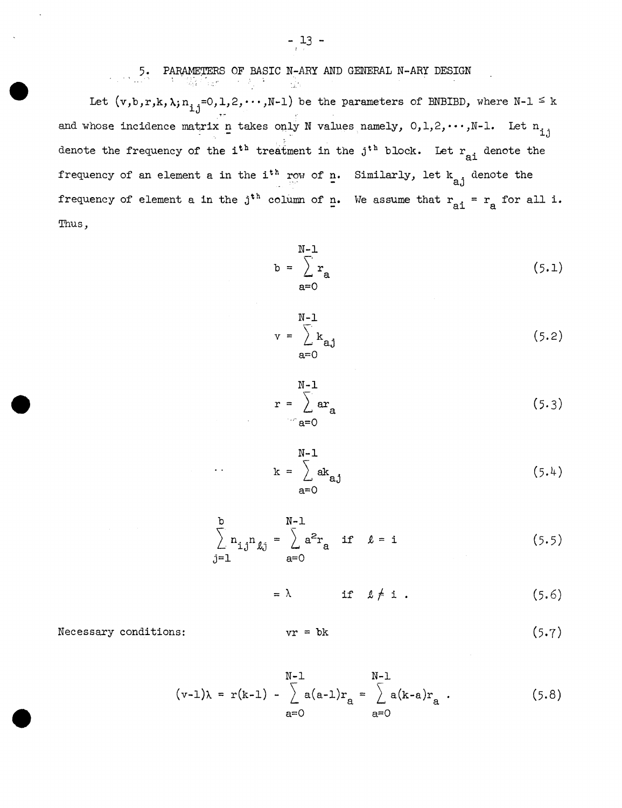Let  $(v, b, r, k, \lambda; n_{i,j}=0, 1, 2, \cdots, N-1)$  be the parameters of BNBIBD, where  $N-1 \leq k$ ۔<br>-∙ and whose incidence matrix n takes only N values namely,  $0,1,2,\cdots,N-1$ . Let  $n_{i,j}$ denote the frequency of the i<sup>th</sup> treatment in the j<sup>th</sup> block. Let  $r_{ai}$  denote the frequency of an element a in the i<sup>th</sup> row of n. Similarly, let  $k_{a,j}$  denote the frequency of element a in the  $j^{th}$  column of n. We assume that  $r_{ai}$  =  $r_a$  for all i. Thus,

$$
b = \sum_{a=0}^{N-1} r_a
$$
 (5.1)

$$
v = \sum_{a=0}^{N-1} k_{aj}
$$
 (5.2)

$$
r = \sum_{\text{a=0}}^{\text{N-1}} \text{ar}_{\text{a}} \tag{5.3}
$$

$$
k = \sum_{a=0}^{N-1} ak_{aj}
$$
 (5.4)

$$
\sum_{j=1}^{b} n_{i,j} n_{\ell j} = \sum_{a=0}^{N-1} a^2 r_a \quad \text{if} \quad \ell = i \tag{5.5}
$$

$$
= \lambda \qquad \text{if} \quad \ell \neq i \tag{5.6}
$$

Necessary conditions:

$$
vr = bk \tag{5.7}
$$

$$
(v-1)\lambda = r(k-1) - \sum_{a=0}^{N-1} a(a-1)r_a = \sum_{a=0}^{N-1} a(k-a)r_a.
$$
 (5.8)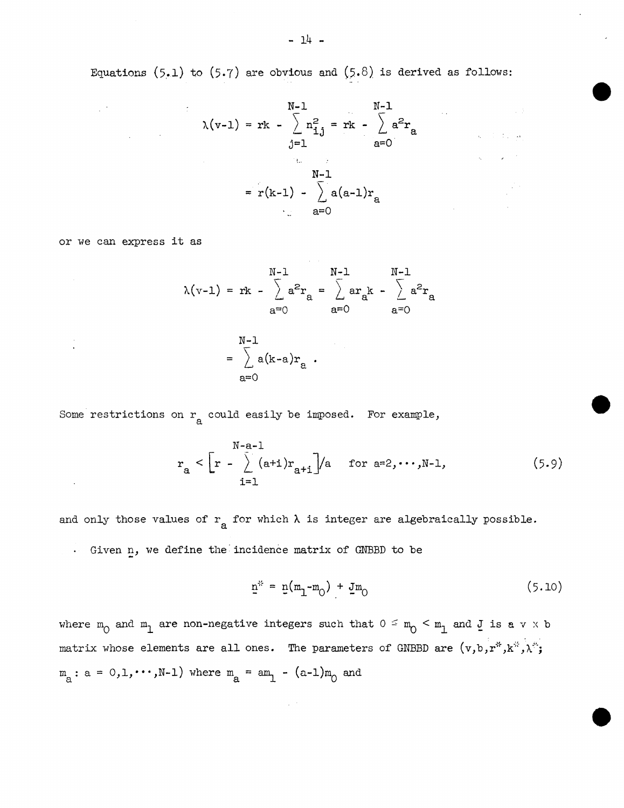Equations (5.1) to (5.7) are obvious and (5.8) is derived as follows:

$$
N-1 \t N-1
$$
  
\n
$$
\lambda(v-1) = rk - \sum_{j=1}^{N-1} n_{1j}^{2} = rk - \sum_{a=0}^{N-1} a^{2}r_{a}
$$
  
\n
$$
N-1
$$
  
\n
$$
= r(k-1) - \sum_{a=0}^{N-1} a(a-1)r_{a}
$$

or we can express it as

 $\sim$ 

 $\label{eq:2.1} \frac{1}{2} \sum_{i=1}^n \frac{1}{2} \sum_{i=1}^n \frac{1}{2} \sum_{i=1}^n \frac{1}{2} \sum_{i=1}^n \frac{1}{2} \sum_{i=1}^n \frac{1}{2} \sum_{i=1}^n \frac{1}{2} \sum_{i=1}^n \frac{1}{2} \sum_{i=1}^n \frac{1}{2} \sum_{i=1}^n \frac{1}{2} \sum_{i=1}^n \frac{1}{2} \sum_{i=1}^n \frac{1}{2} \sum_{i=1}^n \frac{1}{2} \sum_{i=1}^n \frac{$ 

 $\mathcal{L}(\mathcal{L}^{\mathcal{L}})$  and  $\mathcal{L}(\mathcal{L}^{\mathcal{L}})$  . The contribution of  $\mathcal{L}^{\mathcal{L}}$ 

$$
\lambda(v-1) = rk - \sum_{a=0}^{N-1} a^{2}r_{a} = \sum_{a=0}^{N-1} ar_{a}k - \sum_{a=0}^{N-1} a^{2}r_{a}
$$

$$
= \sum_{a=0}^{N-1} a(k-a)r_{a}.
$$

Some restrictions on  $r_a$  could easily be imposed. For example,

$$
r_a < \left[r - \sum_{i=1}^{N-a-1} (a+i)r_{a+i}\right] / a \quad \text{for } a=2,\dots,N-1,
$$
 (5.9)

and only those values of  $r_a$  for which  $\lambda$  is integer are algebraically possible. Given n, we define the incidence matrix of GNBBD to be

$$
\underline{n}^{*} = \underline{n}(m_1 - m_0) + \underline{J}m_0 \tag{5.10}
$$

 $\mathcal{L}_{\mathbf{A}}$  , where  $\mathcal{L}_{\mathbf{A}}$  and  $\mathcal{L}_{\mathbf{A}}$  and  $\mathcal{L}_{\mathbf{A}}$ 

 $\mathcal{L}^{\text{max}}_{\text{max}}$  ,  $\mathcal{L}^{\text{max}}_{\text{max}}$  , and

 $\mathcal{L}_{\text{c}}$  is a set of  $\mathcal{L}_{\text{c}}$ 

where  $m_0$  and  $m_1$  are non-negative integers such that  $0 \le m_0 < m_1$  and  $J$  is a v x b matrix whose elements are all ones. The parameters of GNBBD are  $(v, b, r^*, k^*, \lambda^*;$  $m_{a}: a = 0, 1, \cdots, N-1$  where  $m_{a} = am_{1} - (a-1)m_{0}$  and

 $\sim 10^{-11}$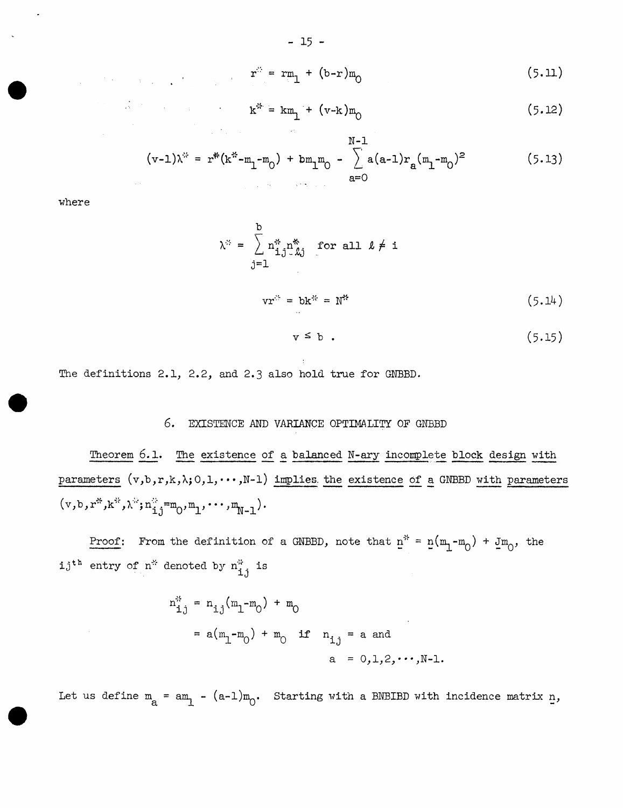$$
r^{2} = rm_{1} + (b-r)m_{0}
$$
 (5.11)

$$
k^* = km_1 + (v-k)m_0
$$
 (5.12)

$$
(v-1)\lambda^* = r^*(k^* - m_1 - m_0) + bm_1m_0 - \sum_{a=0}^{N-1} a(a-1)r_a(m_1 - m_0)^2
$$
 (5.13)

where

 $\label{eq:2.1} \frac{1}{2} \int_{\mathbb{R}^3} \left| \frac{1}{2} \left( \frac{1}{2} \left( \frac{1}{2} \right) \right) \right| \, d\mathbf{x} \, d\mathbf{x} \, d\mathbf{x} \, d\mathbf{x} \, d\mathbf{x} \, d\mathbf{x} \, d\mathbf{x} \, d\mathbf{x} \, d\mathbf{x} \, d\mathbf{x} \, d\mathbf{x} \, d\mathbf{x} \, d\mathbf{x} \, d\mathbf{x} \, d\mathbf{x} \, d\mathbf{x} \, d\mathbf{x} \, d\mathbf{x} \, d\mathbf{x} \$ 

$$
\lambda^{\mathfrak{B}} = \sum_{j=1}^{b} n_{\mathbf{i},j}^{\mathfrak{B}} n_{\mathbf{k},j}^{\mathfrak{B}} \quad \text{for all } \ell \neq i
$$
  

$$
y x^{\mathfrak{B}} = bk^{\mathfrak{B}} = N^{\mathfrak{B}} \qquad (5.14)
$$

$$
v \leq b \tag{5.15}
$$

The definitions 2.1, 2.2, and 2.3 also hold true for GNBBD.

# 6. EXISTENCE *AND* VARIANCE OPTIMALITY OF GNBBD

Theorem 6.1. The existence of a balanced N-ary incomplete block design with parameters  $(v, b, r, k, \lambda; 0, 1, \cdots, N-1)$  implies the existence of a GNBBD with parameters  $(v, b, r^*, k^*, \lambda^*, n_{i,j}^* = m_0, m_1, \cdots, m_{N-1}).$ 

<u>Proof</u>: From the definition of a GNBBD, note that  $p^* = p(m_1 - m_0) + jm_0$ , the  $i,j$ <sup>th</sup> entry of n<sup>\*</sup> denoted by  $n_{i,j}^*$  is

$$
n_{i,j}^{*} = n_{i,j}(m_1 - m_0) + m_0
$$
  
=  $a(m_1 - m_0) + m_0$  if  $n_{i,j}$  = a and  
 $a = 0,1,2,\cdots,N-1$ .

Let us define  $m_a = am_1 - (a-1)m_0$ . Starting with a BNBIBD with incidence matrix  $n$ ,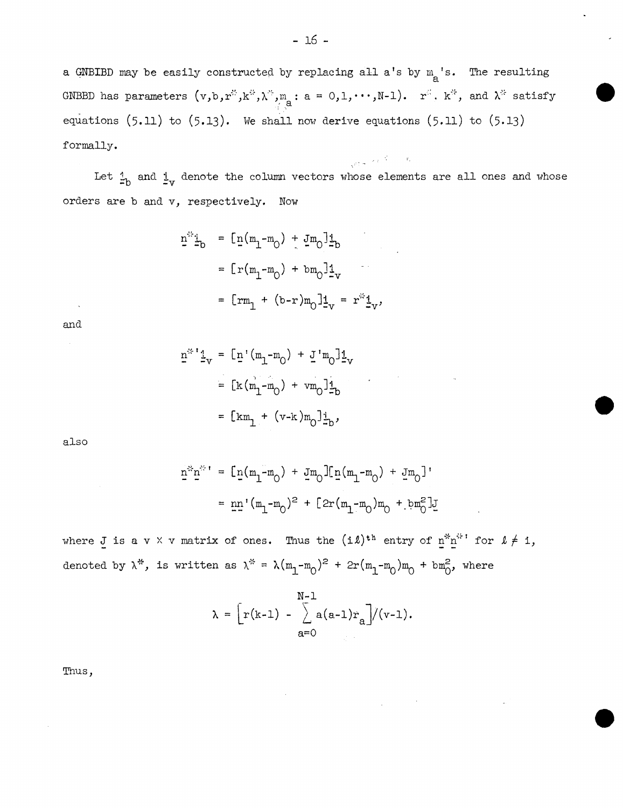a GNBIBD may be easily constructed by replacing all a's by  $m_{\rm g}$ 's. The resulting GNBBD has parameters  $(v, b, r^*, k^*, \lambda^*, m_i : a = 0, 1, \cdots, N-1)$ .  $r^*, k^*,$  and  $\lambda^*$  satisfy equations  $(5.11)$  to  $(5.13)$ . We shall now derive equations  $(5.11)$  to  $(5.13)$ formally.

Let  $\frac{1}{-b}$  and  $\frac{1}{-v}$  denote the column vectors whose elements are all ones and whose orders are b and v, respectively. Now

 $\frac{1}{\sqrt{2\pi}\, \pi^2} \left[ \left( \frac{2\pi}{\pi} \right)^2 \right] \left( \frac{1}{\pi} \right) \left( \frac{1}{\pi} \right) \left( \frac{1}{\pi} \right) \left( \frac{1}{\pi} \right)$ 

$$
\underline{n}^{2} \underline{1}_{b} = [\underline{n}(m_{1} - m_{0}) + \underline{J}m_{0}] \underline{1}_{b}
$$
  
=  $[\underline{r}(m_{1} - m_{0}) + bm_{0}] \underline{1}_{v}$   
=  $[\underline{r}m_{1} + (b-r)m_{0}] \underline{1}_{v} = r^{2} \underline{1}_{v}$ ,

and

$$
n^{22} \frac{1}{2}v = [\underline{n} \cdot (m_1 - m_0) + \underline{J} \cdot m_0] \underline{1}_V
$$
  
=  $[\underline{k} (m_1 - m_0) + \nu m_0] \underline{1}_D$   
=  $[\underline{k} m_1 + (\nu - \underline{k}) m_0] \underline{1}_D$ ,

also

$$
\bar{u}_{\vec{x}} \bar{u}_{\vec{x}} = [\bar{u}(m^{T} - m^{O}) + \bar{u}w^{O}] [\bar{u}(m^{T} - m^{O}) + \bar{u}w^{O}]
$$
\n
$$
= \bar{u} \bar{u} (m^{T} - m^{O}) + \bar{u}w^{O} [\bar{u}(m^{T} - m^{O}) + \bar{u}w^{O}]
$$

where J is a v X v matrix of ones. Thus the  $(i\ell)^{th}$  entry of  $\underline{n}^{th}$  for  $\ell \neq i$ , denoted by  $\lambda^*$ , is written as  $\lambda^* = \lambda (m_1 - m_0)^2 + 2r(m_1 - m_0) m_0 + b m_0^2$ , where

$$
\lambda = \left[ r(k-1) - \sum_{a=0}^{N-1} a(a-1)r_a \right] / (v-1).
$$

Tnus,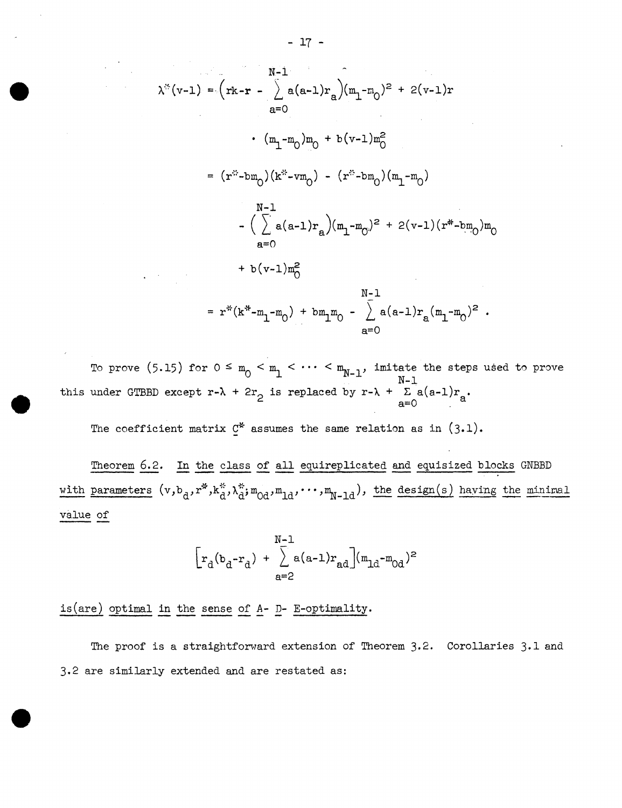$$
N^{-1}
$$
\n
$$
\lambda^{(*)}(v-1) = (rk - r - \sum_{a=0}^{N-1} a(a-1)r_a)(m_1 - m_0)^2 + 2(v-1)r
$$
\n
$$
= (m_1 - m_0)m_0 + b(v-1)m_0^2
$$
\n
$$
= (r^{**} - bm_0)(k^{**} - vn_0) - (r^{**} - bm_0)(m_1 - m_0)
$$
\n
$$
N^{-1}
$$
\n
$$
- (\sum_{a=0}^{N-1} a(a-1)r_a)(m_1 - m_0)^2 + 2(v-1)(r^{**} - bm_0)m_0
$$
\n
$$
= r^{**}(k^{**} - m_1 - m_0) + bm_1m_0 - \sum_{a=0}^{N-1} a(a-1)r_a(m_1 - m_0)^2
$$

To prove (5.15) for  $0 \le m_0 < m_1 < \cdots < m_{N-1}$ , imitate the steps used to prove N-1 this under GTBBD except  $r-\lambda + 2r$  is replaced by  $r-\lambda + \sum_{a=0}^{\infty} a(a-1)r_a$ .

The coefficient matrix  $C^*$  assumes the same relation as in  $(3.1)$ .

Theorem 6.2. In the class of all equireplicated and equisized blocks GNBBD with parameters  $(v, b_d, r^*, k_d^*, \lambda_d^*, m_{0d}, m_{1d}, \cdots, m_{N-1d})$ , the design(s) having the minimal value of

$$
\left[ r_{d} (b_{d} - r_{d}) + \sum_{a=2}^{N-1} a(a-1) r_{ad} \right] (m_{1d} - m_{0d})^{2}
$$

 $is(are)$  optimal in the sense of  $A D-$  E-optimality.

The proof is a straightforward extension of Theorem 3.2. Corollaries 3.1 and 3.2 are similarly extended and are restated as: